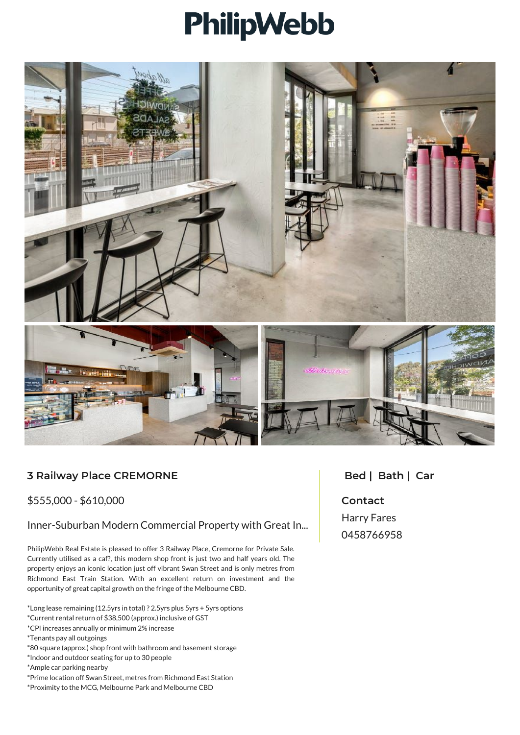## PhilipWebb



## **3 Railway Place CREMORNE**

## \$555,000 - \$610,000

Inner-Suburban Modern Commercial Property with Great In...

PhilipWebb Real Estate is pleased to offer 3 Railway Place, Cremorne for Private Sale. Currently utilised as a caf?, this modern shop front is just two and half years old. The property enjoys an iconic location just off vibrant Swan Street and is only metres from Richmond East Train Station. With an excellent return on investment and the opportunity of great capital growth on the fringe of the Melbourne CBD.

- \*Long lease remaining (12.5yrs in total) ? 2.5yrs plus 5yrs + 5yrs options
- \*Current rental return of \$38,500 (approx.) inclusive of GST
- \*CPI increases annually or minimum 2% increase
- \*Tenants pay all outgoings
- \*80 square (approx.) shop front with bathroom and basement storage
- \*Indoor and outdoor seating for up to 30 people
- \*Ample car parking nearby
- \*Prime location off Swan Street, metres from Richmond East Station
- \*Proximity to the MCG, Melbourne Park and Melbourne CBD

## **Bed | Bath | Car**

**Contact** Harry Fares 0458766958